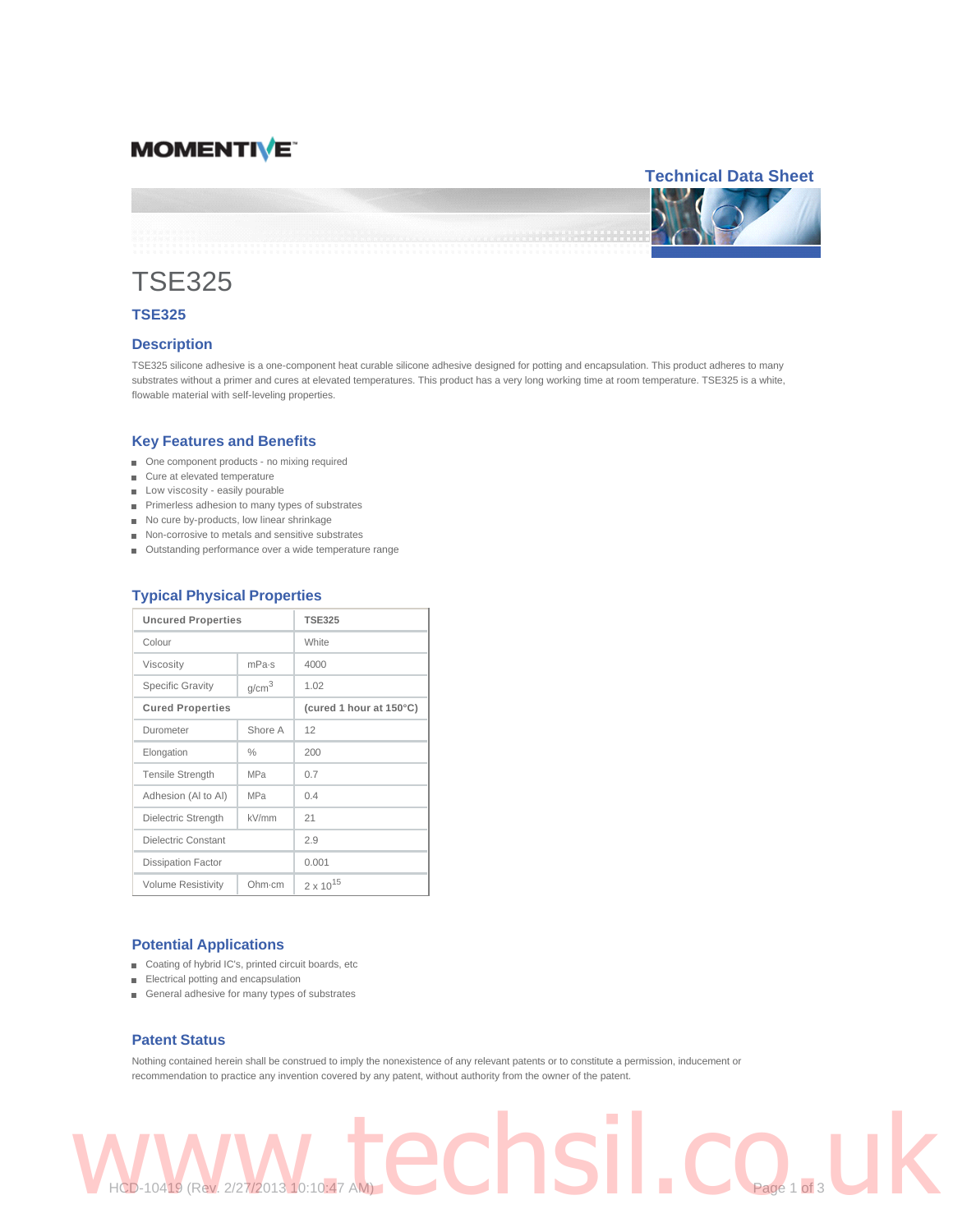# **MOMENTIVE**

## **Technical Data Sheet**



# TSE325

## **TSE325**

### **Description**

TSE325 silicone adhesive is a one-component heat curable silicone adhesive designed for potting and encapsulation. This product adheres to many substrates without a primer and cures at elevated temperatures. This product has a very long working time at room temperature. TSE325 is a white, flowable material with self-leveling properties.

### **Key Features and Benefits**

- One component products no mixing required
- Cure at elevated temperature
- Low viscosity easily pourable
- Primerless adhesion to many types of substrates
- No cure by-products, low linear shrinkage
- Non-corrosive to metals and sensitive substrates
- Outstanding performance over a wide temperature range

| <b>Uncured Properties</b>  |                   | <b>TSE325</b>           |
|----------------------------|-------------------|-------------------------|
| Colour                     |                   | White                   |
| Viscosity                  | mPa <sub>·S</sub> | 4000                    |
| <b>Specific Gravity</b>    | g/cm <sup>3</sup> | 1.02                    |
| <b>Cured Properties</b>    |                   | (cured 1 hour at 150°C) |
| Durometer                  | Shore A           | 12                      |
| Elongation                 | $\%$              | 200                     |
| <b>Tensile Strength</b>    | <b>MPa</b>        | 0.7                     |
| Adhesion (AI to AI)        | <b>MPa</b>        | 04                      |
| Dielectric Strength        | kV/mm             | 21                      |
| <b>Dielectric Constant</b> |                   | 2.9                     |
| <b>Dissipation Factor</b>  |                   | 0.001                   |
| <b>Volume Resistivity</b>  | Ohm·cm            | $2 \times 10^{15}$      |

## **Typical Physical Properties**

## **Potential Applications**

- Coating of hybrid IC's, printed circuit boards, etc
- Electrical potting and encapsulation
- General adhesive for many types of substrates

#### **Patent Status**

Nothing contained herein shall be construed to imply the nonexistence of any relevant patents or to constitute a permission, inducement or recommendation to practice any invention covered by any patent, without authority from the owner of the patent.

WWW.techsil.co.uk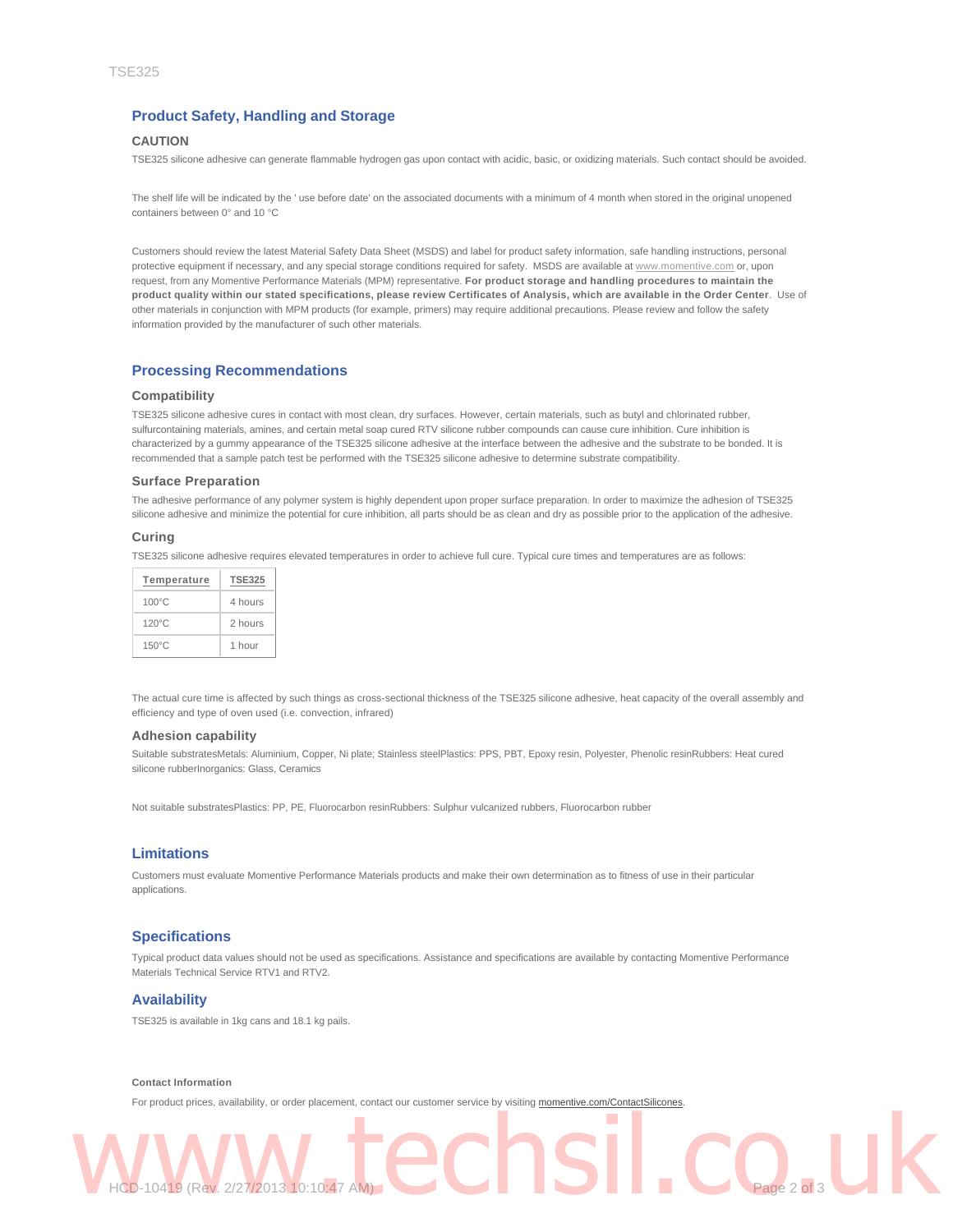## **Product Safety, Handling and Storage**

## **CAUTION**

TSE325 silicone adhesive can generate flammable hydrogen gas upon contact with acidic, basic, or oxidizing materials. Such contact should be avoided.

The shelf life will be indicated by the ' use before date' on the associated documents with a minimum of 4 month when stored in the original unopened containers between 0° and 10 °C

Customers should review the latest Material Safety Data Sheet (MSDS) and label for product safety information, safe handling instructions, personal protective equipment if necessary, and any special storage conditions required for safety. MSDS are available at www.momentive.com or, upon request, from any Momentive Performance Materials (MPM) representative. **For product storage and handling procedures to maintain the product quality within our stated specifications, please review Certificates of Analysis, which are available in the Order Center**. Use of other materials in conjunction with MPM products (for example, primers) may require additional precautions. Please review and follow the safety information provided by the manufacturer of such other materials.

### **Processing Recommendations**

#### **Compatibility**

TSE325 silicone adhesive cures in contact with most clean, dry surfaces. However, certain materials, such as butyl and chlorinated rubber, sulfurcontaining materials, amines, and certain metal soap cured RTV silicone rubber compounds can cause cure inhibition. Cure inhibition is characterized by a gummy appearance of the TSE325 silicone adhesive at the interface between the adhesive and the substrate to be bonded. It is recommended that a sample patch test be performed with the TSE325 silicone adhesive to determine substrate compatibility.

#### **Surface Preparation**

The adhesive performance of any polymer system is highly dependent upon proper surface preparation. In order to maximize the adhesion of TSE325 silicone adhesive and minimize the potential for cure inhibition, all parts should be as clean and dry as possible prior to the application of the adhesive.

#### **Curing**

TSE325 silicone adhesive requires elevated temperatures in order to achieve full cure. Typical cure times and temperatures are as follows:

| Temperature     | <b>TSE325</b> |
|-----------------|---------------|
| $100^{\circ}$ C | 4 hours       |
| $120^{\circ}$ C | 2 hours       |
| $150^{\circ}$ C | 1 hour        |

The actual cure time is affected by such things as cross-sectional thickness of the TSE325 silicone adhesive, heat capacity of the overall assembly and efficiency and type of oven used (i.e. convection, infrared)

#### **Adhesion capability**

Suitable substratesMetals: Aluminium, Copper, Ni plate; Stainless steelPlastics: PPS, PBT, Epoxy resin, Polyester, Phenolic resinRubbers: Heat cured silicone rubberInorganics: Glass, Ceramics

Not suitable substratesPlastics: PP, PE, Fluorocarbon resinRubbers: Sulphur vulcanized rubbers, Fluorocarbon rubber

### **Limitations**

Customers must evaluate Momentive Performance Materials products and make their own determination as to fitness of use in their particular applications.

## **Specifications**

Typical product data values should not be used as specifications. Assistance and specifications are available by contacting Momentive Performance Materials Technical Service RTV1 and RTV2.

## **Availability**

TSE325 is available in 1kg cans and 18.1 kg pails.

#### **Contact Information**

For product prices, availability, or order placement, contact our customer service by visiting momentive.com/ContactSilicones.